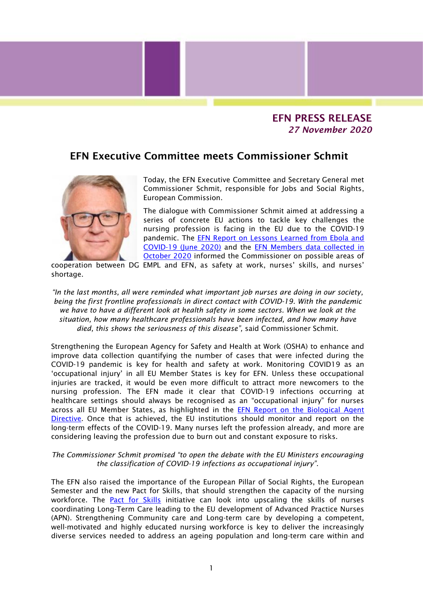## EFN PRESS RELEASE *27 November 2020*

## EFN Executive Committee meets Commissioner Schmit



Today, the EFN Executive Committee and Secretary General met Commissioner Schmit, responsible for Jobs and Social Rights, European Commission.

The dialogue with Commissioner Schmit aimed at addressing a series of concrete EU actions to tackle key challenges the nursing profession is facing in the EU due to the COVID-19 pandemic. The [EFN Report on Lessons Learned from Ebola and](http://anyflip.com/eumpx/ounw/)  [COVID-19 \(June 2020\)](http://anyflip.com/eumpx/ounw/) and the [EFN Members data collected in](https://anyflip.com/eumpx/qycl/)  [October 2020](https://anyflip.com/eumpx/qycl/) informed the Commissioner on possible areas of

cooperation between DG EMPL and EFN, as safety at work, nurses' skills, and nurses' shortage.

*"In the last months, all were reminded what important job nurses are doing in our society, being the first frontline professionals in direct contact with COVID-19. With the pandemic we have to have a different look at health safety in some sectors. When we look at the situation, how many healthcare professionals have been infected, and how many have died, this shows the seriousness of this disease",* said Commissioner Schmit.

Strengthening the European Agency for Safety and Health at Work (OSHA) to enhance and improve data collection quantifying the number of cases that were infected during the COVID-19 pandemic is key for health and safety at work. Monitoring COVID19 as an 'occupational injury' in all EU Member States is key for EFN. Unless these occupational injuries are tracked, it would be even more difficult to attract more newcomers to the nursing profession. The EFN made it clear that COVID-19 infections occurring at healthcare settings should always be recognised as an "occupational injury" for nurses across all EU Member States, as highlighted in the [EFN Report on the Biological Agent](https://anyflip.com/eumpx/qfgb/)  [Directive.](https://anyflip.com/eumpx/qfgb/) Once that is achieved, the EU institutions should monitor and report on the long-term effects of the COVID-19. Many nurses left the profession already, and more are considering leaving the profession due to burn out and constant exposure to risks.

*The Commissioner Schmit promised "to open the debate with the EU Ministers encouraging the classification of COVID-19 infections as occupational injury".* 

The EFN also raised the importance of the European Pillar of Social Rights, the European Semester and the new Pact for Skills, that should strengthen the capacity of the nursing workforce. The [Pact for Skills](https://ec.europa.eu/social/main.jsp?catId=1517&langId=en) initiative can look into upscaling the skills of nurses coordinating Long-Term Care leading to the EU development of Advanced Practice Nurses (APN). Strengthening Community care and Long-term care by developing a competent, well-motivated and highly educated nursing workforce is key to deliver the increasingly diverse services needed to address an ageing population and long-term care within and